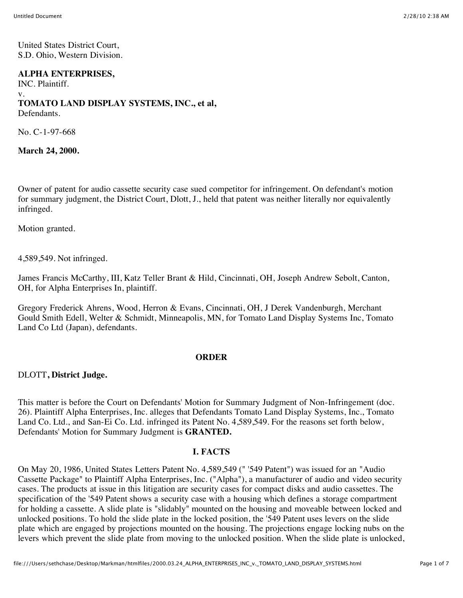United States District Court, S.D. Ohio, Western Division.

### **ALPHA ENTERPRISES,**

INC. Plaintiff. v. **TOMATO LAND DISPLAY SYSTEMS, INC., et al,** Defendants.

No. C-1-97-668

**March 24, 2000.**

Owner of patent for audio cassette security case sued competitor for infringement. On defendant's motion for summary judgment, the District Court, Dlott, J., held that patent was neither literally nor equivalently infringed.

Motion granted.

4,589,549. Not infringed.

James Francis McCarthy, III, Katz Teller Brant & Hild, Cincinnati, OH, Joseph Andrew Sebolt, Canton, OH, for Alpha Enterprises In, plaintiff.

Gregory Frederick Ahrens, Wood, Herron & Evans, Cincinnati, OH, J Derek Vandenburgh, Merchant Gould Smith Edell, Welter & Schmidt, Minneapolis, MN, for Tomato Land Display Systems Inc, Tomato Land Co Ltd (Japan), defendants.

### **ORDER**

DLOTT**, District Judge.**

This matter is before the Court on Defendants' Motion for Summary Judgment of Non-Infringement (doc. 26). Plaintiff Alpha Enterprises, Inc. alleges that Defendants Tomato Land Display Systems, Inc., Tomato Land Co. Ltd., and San-Ei Co. Ltd. infringed its Patent No. 4,589,549. For the reasons set forth below, Defendants' Motion for Summary Judgment is **GRANTED.**

### **I. FACTS**

On May 20, 1986, United States Letters Patent No. 4,589,549 (" '549 Patent") was issued for an "Audio Cassette Package" to Plaintiff Alpha Enterprises, Inc. ("Alpha"), a manufacturer of audio and video security cases. The products at issue in this litigation are security cases for compact disks and audio cassettes. The specification of the '549 Patent shows a security case with a housing which defines a storage compartment for holding a cassette. A slide plate is "slidably" mounted on the housing and moveable between locked and unlocked positions. To hold the slide plate in the locked position, the '549 Patent uses levers on the slide plate which are engaged by projections mounted on the housing. The projections engage locking nubs on the levers which prevent the slide plate from moving to the unlocked position. When the slide plate is unlocked,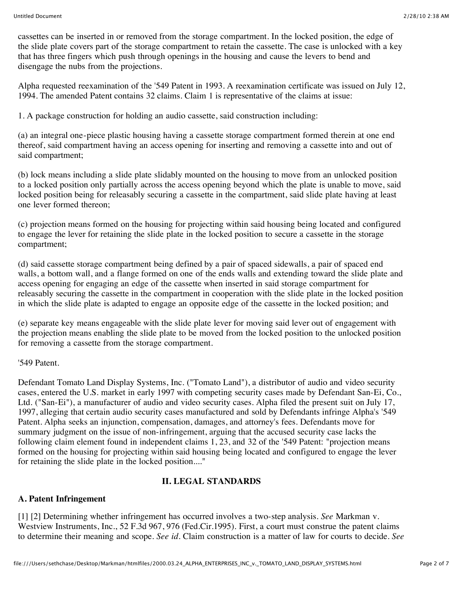cassettes can be inserted in or removed from the storage compartment. In the locked position, the edge of the slide plate covers part of the storage compartment to retain the cassette. The case is unlocked with a key that has three fingers which push through openings in the housing and cause the levers to bend and disengage the nubs from the projections.

Alpha requested reexamination of the '549 Patent in 1993. A reexamination certificate was issued on July 12, 1994. The amended Patent contains 32 claims. Claim 1 is representative of the claims at issue:

1. A package construction for holding an audio cassette, said construction including:

(a) an integral one-piece plastic housing having a cassette storage compartment formed therein at one end thereof, said compartment having an access opening for inserting and removing a cassette into and out of said compartment;

(b) lock means including a slide plate slidably mounted on the housing to move from an unlocked position to a locked position only partially across the access opening beyond which the plate is unable to move, said locked position being for releasably securing a cassette in the compartment, said slide plate having at least one lever formed thereon;

(c) projection means formed on the housing for projecting within said housing being located and configured to engage the lever for retaining the slide plate in the locked position to secure a cassette in the storage compartment;

(d) said cassette storage compartment being defined by a pair of spaced sidewalls, a pair of spaced end walls, a bottom wall, and a flange formed on one of the ends walls and extending toward the slide plate and access opening for engaging an edge of the cassette when inserted in said storage compartment for releasably securing the cassette in the compartment in cooperation with the slide plate in the locked position in which the slide plate is adapted to engage an opposite edge of the cassette in the locked position; and

(e) separate key means engageable with the slide plate lever for moving said lever out of engagement with the projection means enabling the slide plate to be moved from the locked position to the unlocked position for removing a cassette from the storage compartment.

'549 Patent.

Defendant Tomato Land Display Systems, Inc. ("Tomato Land"), a distributor of audio and video security cases, entered the U.S. market in early 1997 with competing security cases made by Defendant San-Ei, Co., Ltd. ("San-Ei"), a manufacturer of audio and video security cases. Alpha filed the present suit on July 17, 1997, alleging that certain audio security cases manufactured and sold by Defendants infringe Alpha's '549 Patent. Alpha seeks an injunction, compensation, damages, and attorney's fees. Defendants move for summary judgment on the issue of non-infringement, arguing that the accused security case lacks the following claim element found in independent claims 1, 23, and 32 of the '549 Patent: "projection means formed on the housing for projecting within said housing being located and configured to engage the lever for retaining the slide plate in the locked position...."

# **II. LEGAL STANDARDS**

# **A. Patent Infringement**

[1] [2] Determining whether infringement has occurred involves a two-step analysis. *See* Markman v. Westview Instruments, Inc., 52 F.3d 967, 976 (Fed.Cir.1995). First, a court must construe the patent claims to determine their meaning and scope. *See id.* Claim construction is a matter of law for courts to decide. *See*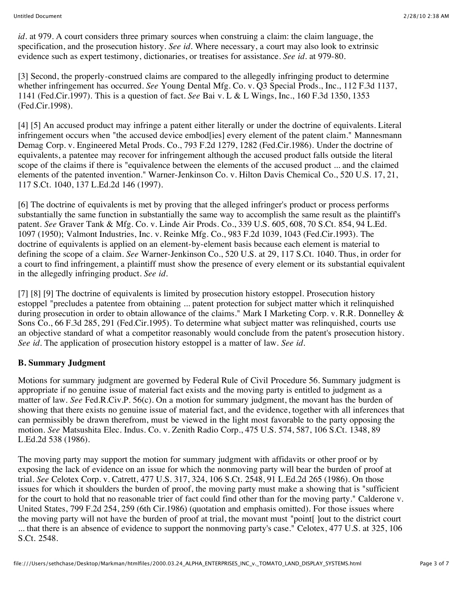*id.* at 979. A court considers three primary sources when construing a claim: the claim language, the specification, and the prosecution history. *See id.* Where necessary, a court may also look to extrinsic evidence such as expert testimony, dictionaries, or treatises for assistance. *See id.* at 979-80.

[3] Second, the properly-construed claims are compared to the allegedly infringing product to determine whether infringement has occurred. *See* Young Dental Mfg. Co. v. Q3 Special Prods., Inc., 112 F.3d 1137, 1141 (Fed.Cir.1997). This is a question of fact. *See* Bai v. L & L Wings, Inc., 160 F.3d 1350, 1353 (Fed.Cir.1998).

[4] [5] An accused product may infringe a patent either literally or under the doctrine of equivalents. Literal infringement occurs when "the accused device embod[ies] every element of the patent claim." Mannesmann Demag Corp. v. Engineered Metal Prods. Co., 793 F.2d 1279, 1282 (Fed.Cir.1986). Under the doctrine of equivalents, a patentee may recover for infringement although the accused product falls outside the literal scope of the claims if there is "equivalence between the elements of the accused product ... and the claimed elements of the patented invention." Warner-Jenkinson Co. v. Hilton Davis Chemical Co., 520 U.S. 17, 21, 117 S.Ct. 1040, 137 L.Ed.2d 146 (1997).

[6] The doctrine of equivalents is met by proving that the alleged infringer's product or process performs substantially the same function in substantially the same way to accomplish the same result as the plaintiff's patent. *See* Graver Tank & Mfg. Co. v. Linde Air Prods. Co., 339 U.S. 605, 608, 70 S.Ct. 854, 94 L.Ed. 1097 (1950); Valmont Industries, Inc. v. Reinke Mfg. Co., 983 F.2d 1039, 1043 (Fed.Cir.1993). The doctrine of equivalents is applied on an element-by-element basis because each element is material to defining the scope of a claim. *See* Warner-Jenkinson Co., 520 U.S. at 29, 117 S.Ct. 1040. Thus, in order for a court to find infringement, a plaintiff must show the presence of every element or its substantial equivalent in the allegedly infringing product. *See id.*

[7] [8] [9] The doctrine of equivalents is limited by prosecution history estoppel. Prosecution history estoppel "precludes a patentee from obtaining ... patent protection for subject matter which it relinquished during prosecution in order to obtain allowance of the claims." Mark I Marketing Corp. v. R.R. Donnelley & Sons Co., 66 F.3d 285, 291 (Fed.Cir.1995). To determine what subject matter was relinquished, courts use an objective standard of what a competitor reasonably would conclude from the patent's prosecution history. *See id.* The application of prosecution history estoppel is a matter of law. *See id.*

## **B. Summary Judgment**

Motions for summary judgment are governed by Federal Rule of Civil Procedure 56. Summary judgment is appropriate if no genuine issue of material fact exists and the moving party is entitled to judgment as a matter of law. *See* Fed.R.Civ.P. 56(c). On a motion for summary judgment, the movant has the burden of showing that there exists no genuine issue of material fact, and the evidence, together with all inferences that can permissibly be drawn therefrom, must be viewed in the light most favorable to the party opposing the motion. *See* Matsushita Elec. Indus. Co. v. Zenith Radio Corp., 475 U.S. 574, 587, 106 S.Ct. 1348, 89 L.Ed.2d 538 (1986).

The moving party may support the motion for summary judgment with affidavits or other proof or by exposing the lack of evidence on an issue for which the nonmoving party will bear the burden of proof at trial. *See* Celotex Corp. v. Catrett, 477 U.S. 317, 324, 106 S.Ct. 2548, 91 L.Ed.2d 265 (1986). On those issues for which it shoulders the burden of proof, the moving party must make a showing that is "sufficient for the court to hold that no reasonable trier of fact could find other than for the moving party." Calderone v. United States, 799 F.2d 254, 259 (6th Cir.1986) (quotation and emphasis omitted). For those issues where the moving party will not have the burden of proof at trial, the movant must "point[ ]out to the district court ... that there is an absence of evidence to support the nonmoving party's case." Celotex, 477 U.S. at 325, 106 S.Ct. 2548.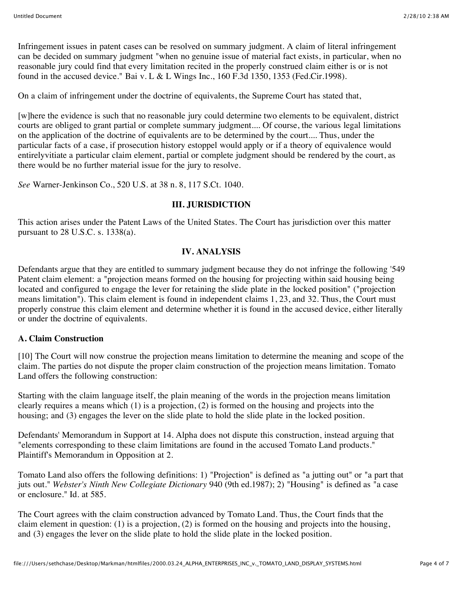Infringement issues in patent cases can be resolved on summary judgment. A claim of literal infringement can be decided on summary judgment "when no genuine issue of material fact exists, in particular, when no reasonable jury could find that every limitation recited in the properly construed claim either is or is not found in the accused device." Bai v. L & L Wings Inc.,  $160$  F.3d 1350, 1353 (Fed.Cir.1998).

On a claim of infringement under the doctrine of equivalents, the Supreme Court has stated that,

[w]here the evidence is such that no reasonable jury could determine two elements to be equivalent, district courts are obliged to grant partial or complete summary judgment.... Of course, the various legal limitations on the application of the doctrine of equivalents are to be determined by the court.... Thus, under the particular facts of a case, if prosecution history estoppel would apply or if a theory of equivalence would entirelyvitiate a particular claim element, partial or complete judgment should be rendered by the court, as there would be no further material issue for the jury to resolve.

*See* Warner-Jenkinson Co., 520 U.S. at 38 n. 8, 117 S.Ct. 1040.

## **III. JURISDICTION**

This action arises under the Patent Laws of the United States. The Court has jurisdiction over this matter pursuant to 28 U.S.C. s. 1338(a).

## **IV. ANALYSIS**

Defendants argue that they are entitled to summary judgment because they do not infringe the following '549 Patent claim element: a "projection means formed on the housing for projecting within said housing being located and configured to engage the lever for retaining the slide plate in the locked position" ("projection means limitation"). This claim element is found in independent claims 1, 23, and 32. Thus, the Court must properly construe this claim element and determine whether it is found in the accused device, either literally or under the doctrine of equivalents.

## **A. Claim Construction**

[10] The Court will now construe the projection means limitation to determine the meaning and scope of the claim. The parties do not dispute the proper claim construction of the projection means limitation. Tomato Land offers the following construction:

Starting with the claim language itself, the plain meaning of the words in the projection means limitation clearly requires a means which (1) is a projection, (2) is formed on the housing and projects into the housing; and (3) engages the lever on the slide plate to hold the slide plate in the locked position.

Defendants' Memorandum in Support at 14. Alpha does not dispute this construction, instead arguing that "elements corresponding to these claim limitations are found in the accused Tomato Land products." Plaintiff's Memorandum in Opposition at 2.

Tomato Land also offers the following definitions: 1) "Projection" is defined as "a jutting out" or "a part that juts out." *Webster's Ninth New Collegiate Dictionary* 940 (9th ed.1987); 2) "Housing" is defined as "a case or enclosure." Id. at 585.

The Court agrees with the claim construction advanced by Tomato Land. Thus, the Court finds that the claim element in question: (1) is a projection, (2) is formed on the housing and projects into the housing, and (3) engages the lever on the slide plate to hold the slide plate in the locked position.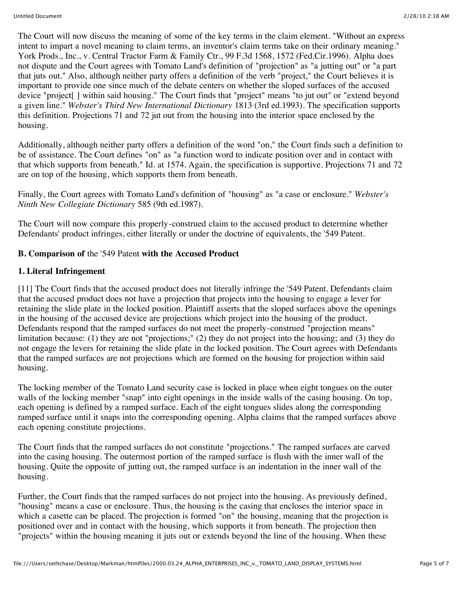The Court will now discuss the meaning of some of the key terms in the claim element. "Without an express intent to impart a novel meaning to claim terms, an inventor's claim terms take on their ordinary meaning." York Prods., Inc., v. Central Tractor Farm & Family Ctr., 99 F.3d 1568, 1572 (Fed.Cir.1996). Alpha does not dispute and the Court agrees with Tomato Land's definition of "projection" as "a jutting out" or "a part that juts out." Also, although neither party offers a definition of the verb "project," the Court believes it is important to provide one since much of the debate centers on whether the sloped surfaces of the accused device "project[ ] within said housing." The Court finds that "project" means "to jut out" or "extend beyond a given line." *Webster's Third New International Dictionary* 1813 (3rd ed.1993). The specification supports this definition. Projections 71 and 72 jut out from the housing into the interior space enclosed by the housing.

Additionally, although neither party offers a definition of the word "on," the Court finds such a definition to be of assistance. The Court defines "on" as "a function word to indicate position over and in contact with that which supports from beneath." Id. at 1574. Again, the specification is supportive. Projections 71 and 72 are on top of the housing, which supports them from beneath.

Finally, the Court agrees with Tomato Land's definition of "housing" as "a case or enclosure." *Webster's Ninth New Collegiate Dictionary* 585 (9th ed.1987).

The Court will now compare this properly-construed claim to the accused product to determine whether Defendants' product infringes, either literally or under the doctrine of equivalents, the '549 Patent.

# **B. Comparison of** the '549 Patent **with the Accused Product**

# **1. Literal Infringement**

[11] The Court finds that the accused product does not literally infringe the '549 Patent. Defendants claim that the accused product does not have a projection that projects into the housing to engage a lever for retaining the slide plate in the locked position. Plaintiff asserts that the sloped surfaces above the openings in the housing of the accused device are projections which project into the housing of the product. Defendants respond that the ramped surfaces do not meet the properly-construed "projection means" limitation because: (1) they are not "projections;" (2) they do not project into the housing; and (3) they do not engage the levers for retaining the slide plate in the locked position. The Court agrees with Defendants that the ramped surfaces are not projections which are formed on the housing for projection within said housing.

The locking member of the Tomato Land security case is locked in place when eight tongues on the outer walls of the locking member "snap" into eight openings in the inside walls of the casing housing. On top, each opening is defined by a ramped surface. Each of the eight tongues slides along the corresponding ramped surface until it snaps into the corresponding opening. Alpha claims that the ramped surfaces above each opening constitute projections.

The Court finds that the ramped surfaces do not constitute "projections." The ramped surfaces are carved into the casing housing. The outermost portion of the ramped surface is flush with the inner wall of the housing. Quite the opposite of jutting out, the ramped surface is an indentation in the inner wall of the housing.

Further, the Court finds that the ramped surfaces do not project into the housing. As previously defined, "housing" means a case or enclosure. Thus, the housing is the casing that encloses the interior space in which a casette can be placed. The projection is formed "on" the housing, meaning that the projection is positioned over and in contact with the housing, which supports it from beneath. The projection then "projects" within the housing meaning it juts out or extends beyond the line of the housing. When these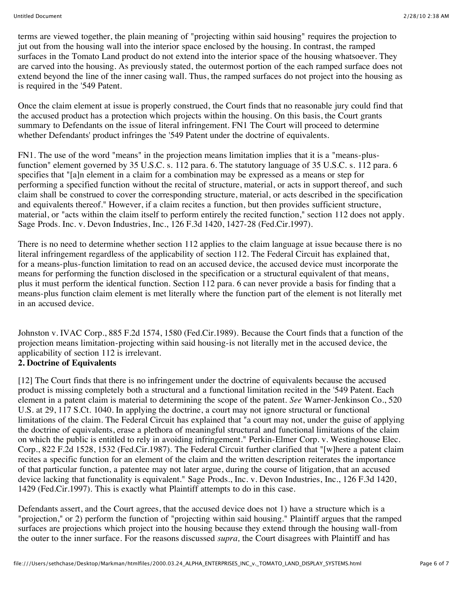terms are viewed together, the plain meaning of "projecting within said housing" requires the projection to jut out from the housing wall into the interior space enclosed by the housing. In contrast, the ramped surfaces in the Tomato Land product do not extend into the interior space of the housing whatsoever. They are carved into the housing. As previously stated, the outermost portion of the each ramped surface does not extend beyond the line of the inner casing wall. Thus, the ramped surfaces do not project into the housing as is required in the '549 Patent.

Once the claim element at issue is properly construed, the Court finds that no reasonable jury could find that the accused product has a protection which projects within the housing. On this basis, the Court grants summary to Defendants on the issue of literal infringement. FN1 The Court will proceed to determine whether Defendants' product infringes the '549 Patent under the doctrine of equivalents.

FN1. The use of the word "means" in the projection means limitation implies that it is a "means-plusfunction" element governed by 35 U.S.C. s. 112 para. 6. The statutory language of 35 U.S.C. s. 112 para. 6 specifies that "[a]n element in a claim for a combination may be expressed as a means or step for performing a specified function without the recital of structure, material, or acts in support thereof, and such claim shall be construed to cover the corresponding structure, material, or acts described in the specification and equivalents thereof." However, if a claim recites a function, but then provides sufficient structure, material, or "acts within the claim itself to perform entirely the recited function," section 112 does not apply. Sage Prods. Inc. v. Devon Industries, Inc., 126 F.3d 1420, 1427-28 (Fed.Cir.1997).

There is no need to determine whether section 112 applies to the claim language at issue because there is no literal infringement regardless of the applicability of section 112. The Federal Circuit has explained that, for a means-plus-function limitation to read on an accused device, the accused device must incorporate the means for performing the function disclosed in the specification or a structural equivalent of that means, plus it must perform the identical function. Section 112 para. 6 can never provide a basis for finding that a means-plus function claim element is met literally where the function part of the element is not literally met in an accused device.

Johnston v. IVAC Corp., 885 F.2d 1574, 1580 (Fed.Cir.1989). Because the Court finds that a function of the projection means limitation-projecting within said housing-is not literally met in the accused device, the applicability of section 112 is irrelevant.

## **2. Doctrine of Equivalents**

[12] The Court finds that there is no infringement under the doctrine of equivalents because the accused product is missing completely both a structural and a functional limitation recited in the '549 Patent. Each element in a patent claim is material to determining the scope of the patent. *See* Warner-Jenkinson Co., 520 U.S. at 29, 117 S.Ct. 1040. In applying the doctrine, a court may not ignore structural or functional limitations of the claim. The Federal Circuit has explained that "a court may not, under the guise of applying the doctrine of equivalents, erase a plethora of meaningful structural and functional limitations of the claim on which the public is entitled to rely in avoiding infringement." Perkin-Elmer Corp. v. Westinghouse Elec. Corp., 822 F.2d 1528, 1532 (Fed.Cir.1987). The Federal Circuit further clarified that "[w]here a patent claim recites a specific function for an element of the claim and the written description reiterates the importance of that particular function, a patentee may not later argue, during the course of litigation, that an accused device lacking that functionality is equivalent." Sage Prods., Inc. v. Devon Industries, Inc., 126 F.3d 1420, 1429 (Fed.Cir.1997). This is exactly what Plaintiff attempts to do in this case.

Defendants assert, and the Court agrees, that the accused device does not 1) have a structure which is a "projection," or 2) perform the function of "projecting within said housing." Plaintiff argues that the ramped surfaces are projections which project into the housing because they extend through the housing wall-from the outer to the inner surface. For the reasons discussed *supra,* the Court disagrees with Plaintiff and has